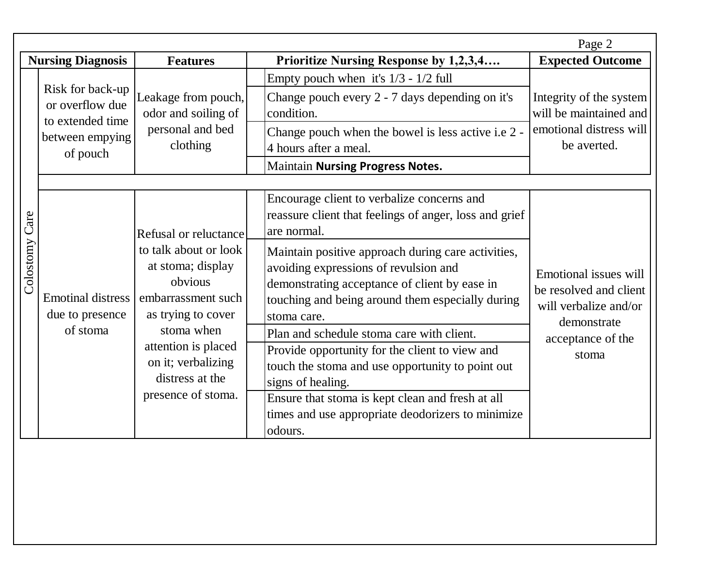|                   |                                                                                        |                                                                                                                                                                                                                                |                                                                                                                                                                                                                                                                                                                                                                                                                                                                                                                                                                    | Page 2                                                                                                                |
|-------------------|----------------------------------------------------------------------------------------|--------------------------------------------------------------------------------------------------------------------------------------------------------------------------------------------------------------------------------|--------------------------------------------------------------------------------------------------------------------------------------------------------------------------------------------------------------------------------------------------------------------------------------------------------------------------------------------------------------------------------------------------------------------------------------------------------------------------------------------------------------------------------------------------------------------|-----------------------------------------------------------------------------------------------------------------------|
|                   | <b>Nursing Diagnosis</b>                                                               | <b>Features</b>                                                                                                                                                                                                                | <b>Prioritize Nursing Response by 1,2,3,4</b>                                                                                                                                                                                                                                                                                                                                                                                                                                                                                                                      | <b>Expected Outcome</b>                                                                                               |
|                   | Risk for back-up<br>or overflow due<br>to extended time<br>between empying<br>of pouch | Leakage from pouch,<br>odor and soiling of<br>personal and bed<br>clothing                                                                                                                                                     | Empty pouch when it's $1/3 - 1/2$ full<br>Change pouch every 2 - 7 days depending on it's<br>condition.                                                                                                                                                                                                                                                                                                                                                                                                                                                            | Integrity of the system<br>will be maintained and<br>emotional distress will<br>be averted.                           |
|                   |                                                                                        |                                                                                                                                                                                                                                | Change pouch when the bowel is less active i.e 2 -<br>4 hours after a meal.                                                                                                                                                                                                                                                                                                                                                                                                                                                                                        |                                                                                                                       |
|                   |                                                                                        |                                                                                                                                                                                                                                | <b>Maintain Nursing Progress Notes.</b>                                                                                                                                                                                                                                                                                                                                                                                                                                                                                                                            |                                                                                                                       |
| Care<br>Colostomy | <b>Emotinal distress</b><br>due to presence<br>of stoma                                | Refusal or reluctance<br>to talk about or look<br>at stoma; display<br>obvious<br>embarrassment such<br>as trying to cover<br>stoma when<br>attention is placed<br>on it; verbalizing<br>distress at the<br>presence of stoma. | Encourage client to verbalize concerns and<br>reassure client that feelings of anger, loss and grief<br>are normal.<br>Maintain positive approach during care activities,<br>avoiding expressions of revulsion and<br>demonstrating acceptance of client by ease in<br>touching and being around them especially during<br>stoma care.<br>Plan and schedule stoma care with client.<br>Provide opportunity for the client to view and<br>touch the stoma and use opportunity to point out<br>signs of healing.<br>Ensure that stoma is kept clean and fresh at all | Emotional issues will<br>be resolved and client<br>will verbalize and/or<br>demonstrate<br>acceptance of the<br>stoma |
|                   |                                                                                        |                                                                                                                                                                                                                                | times and use appropriate deodorizers to minimize<br>odours.                                                                                                                                                                                                                                                                                                                                                                                                                                                                                                       |                                                                                                                       |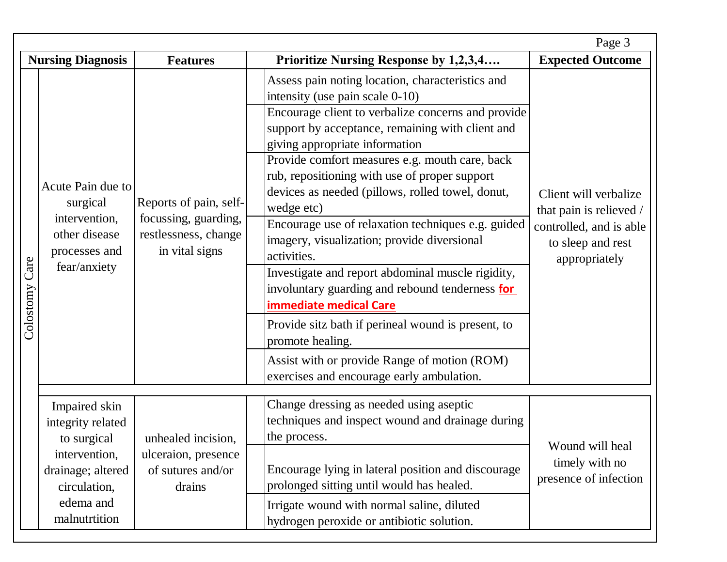|                |                                                                                                         |                                                                                          |                                                                                                                                                                                                                                                                                                                                                                                                                                                                                                                                                                                                                                                                                                                                                                                                                                          | Page 3                                                                                                            |
|----------------|---------------------------------------------------------------------------------------------------------|------------------------------------------------------------------------------------------|------------------------------------------------------------------------------------------------------------------------------------------------------------------------------------------------------------------------------------------------------------------------------------------------------------------------------------------------------------------------------------------------------------------------------------------------------------------------------------------------------------------------------------------------------------------------------------------------------------------------------------------------------------------------------------------------------------------------------------------------------------------------------------------------------------------------------------------|-------------------------------------------------------------------------------------------------------------------|
|                | <b>Nursing Diagnosis</b>                                                                                | <b>Features</b>                                                                          | <b>Prioritize Nursing Response by 1,2,3,4</b>                                                                                                                                                                                                                                                                                                                                                                                                                                                                                                                                                                                                                                                                                                                                                                                            | <b>Expected Outcome</b>                                                                                           |
| Colostomy Care | Acute Pain due to<br>surgical<br>intervention,<br>other disease<br>processes and<br>fear/anxiety        | Reports of pain, self-<br>focussing, guarding,<br>restlessness, change<br>in vital signs | Assess pain noting location, characteristics and<br>intensity (use pain scale 0-10)<br>Encourage client to verbalize concerns and provide<br>support by acceptance, remaining with client and<br>giving appropriate information<br>Provide comfort measures e.g. mouth care, back<br>rub, repositioning with use of proper support<br>devices as needed (pillows, rolled towel, donut,<br>wedge etc)<br>Encourage use of relaxation techniques e.g. guided<br>imagery, visualization; provide diversional<br>activities.<br>Investigate and report abdominal muscle rigidity,<br>involuntary guarding and rebound tenderness for<br><b>immediate medical Care</b><br>Provide sitz bath if perineal wound is present, to<br>promote healing.<br>Assist with or provide Range of motion (ROM)<br>exercises and encourage early ambulation. | Client will verbalize<br>that pain is relieved /<br>controlled, and is able<br>to sleep and rest<br>appropriately |
|                | Impaired skin<br>integrity related<br>to surgical<br>intervention,<br>drainage; altered<br>circulation, | unhealed incision,<br>ulceraion, presence<br>of sutures and/or<br>drains                 | Change dressing as needed using aseptic<br>techniques and inspect wound and drainage during<br>the process.<br>Encourage lying in lateral position and discourage<br>prolonged sitting until would has healed.                                                                                                                                                                                                                                                                                                                                                                                                                                                                                                                                                                                                                           | Wound will heal<br>timely with no<br>presence of infection                                                        |
|                | edema and<br>malnutrtition                                                                              |                                                                                          | Irrigate wound with normal saline, diluted<br>hydrogen peroxide or antibiotic solution.                                                                                                                                                                                                                                                                                                                                                                                                                                                                                                                                                                                                                                                                                                                                                  |                                                                                                                   |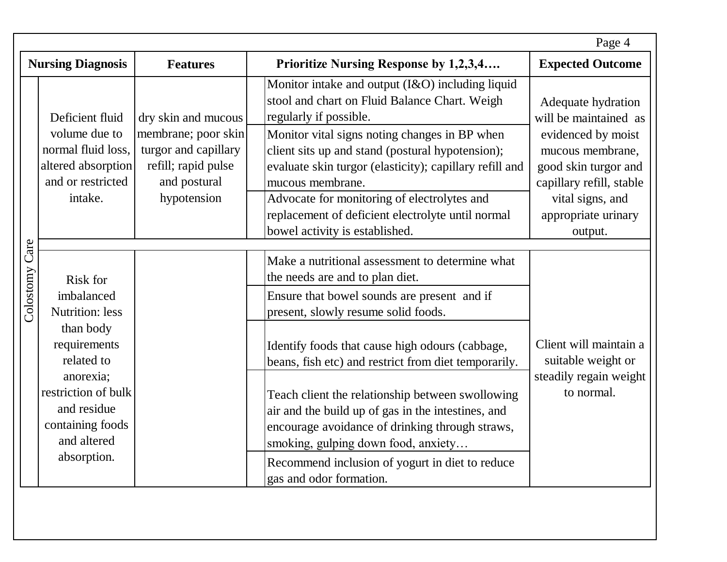|                |                                                                                                                                                                                                         |                                                                                                                          |                                                                                                                                                                                                                                                                                                                                                                                                                                                                                                                                                                       | Page 4                                                                                                                                                                                          |
|----------------|---------------------------------------------------------------------------------------------------------------------------------------------------------------------------------------------------------|--------------------------------------------------------------------------------------------------------------------------|-----------------------------------------------------------------------------------------------------------------------------------------------------------------------------------------------------------------------------------------------------------------------------------------------------------------------------------------------------------------------------------------------------------------------------------------------------------------------------------------------------------------------------------------------------------------------|-------------------------------------------------------------------------------------------------------------------------------------------------------------------------------------------------|
|                | <b>Nursing Diagnosis</b>                                                                                                                                                                                | <b>Features</b>                                                                                                          | Prioritize Nursing Response by 1,2,3,4                                                                                                                                                                                                                                                                                                                                                                                                                                                                                                                                | <b>Expected Outcome</b>                                                                                                                                                                         |
|                | Deficient fluid<br>volume due to<br>normal fluid loss,<br>altered absorption<br>and or restricted<br>intake.                                                                                            | dry skin and mucous<br>membrane; poor skin<br>turgor and capillary<br>refill; rapid pulse<br>and postural<br>hypotension | Monitor intake and output (I&O) including liquid<br>stool and chart on Fluid Balance Chart. Weigh<br>regularly if possible.<br>Monitor vital signs noting changes in BP when<br>client sits up and stand (postural hypotension);<br>evaluate skin turgor (elasticity); capillary refill and<br>mucous membrane.<br>Advocate for monitoring of electrolytes and<br>replacement of deficient electrolyte until normal<br>bowel activity is established.                                                                                                                 | Adequate hydration<br>will be maintained as<br>evidenced by moist<br>mucous membrane,<br>good skin turgor and<br>capillary refill, stable<br>vital signs, and<br>appropriate urinary<br>output. |
| Colostomy Care | <b>Risk for</b><br>imbalanced<br><b>Nutrition:</b> less<br>than body<br>requirements<br>related to<br>anorexia;<br>restriction of bulk<br>and residue<br>containing foods<br>and altered<br>absorption. |                                                                                                                          | Make a nutritional assessment to determine what<br>the needs are and to plan diet.<br>Ensure that bowel sounds are present and if<br>present, slowly resume solid foods.<br>Identify foods that cause high odours (cabbage,<br>beans, fish etc) and restrict from diet temporarily.<br>Teach client the relationship between swollowing<br>air and the build up of gas in the intestines, and<br>encourage avoidance of drinking through straws,<br>smoking, gulping down food, anxiety<br>Recommend inclusion of yogurt in diet to reduce<br>gas and odor formation. | Client will maintain a<br>suitable weight or<br>steadily regain weight<br>to normal.                                                                                                            |